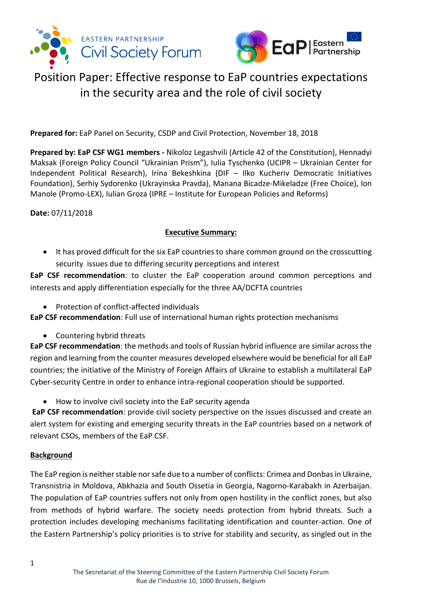



**Prepared for:** EaP Panel on Security, CSDP and Civil Protection, November 18, 2018

**Prepared by: EaP CSF WG1 members -** Nikoloz Legashvili (Article 42 of the Constitution), Hennadyi Maksak (Foreign Policy Council "Ukrainian Prism"), Iulia Tyschenko (UCIPR – Ukrainian Center for Independent Political Research), Irina Bekeshkina (DIF – Ilko Kucheriv Democratic Initiatives Foundation), Serhiy Sydorenko (Ukrayinska Pravda), Manana Bicadze-Mikeladze (Free Choice), Ion Manole (Promo-LEX), Iulian Groza (IPRE – Institute for European Policies and Reforms)

#### **Date:** 07/11/2018

### **Executive Summary:**

• It has proved difficult for the six EaP countries to share common ground on the crosscutting security issues due to differing security perceptions and interest

**EaP CSF recommendation**: to cluster the EaP cooperation around common perceptions and interests and apply differentiation especially for the three AA/DCFTA countries

• Protection of conflict-affected individuals

**EaP CSF recommendation**: Full use of international human rights protection mechanisms

• Countering hybrid threats

**EaP CSF recommendation**: the methods and tools of Russian hybrid influence are similar across the region and learning from the counter measures developed elsewhere would be beneficial for all EaP countries; the initiative of the Ministry of Foreign Affairs of Ukraine to establish a multilateral EaP Cyber-security Centre in order to enhance intra-regional cooperation should be supported.

• How to involve civil society into the EaP security agenda

**EaP CSF recommendation**: provide civil society perspective on the issues discussed and create an alert system for existing and emerging security threats in the EaP countries based on a network of relevant CSOs, members of the EaP CSF.

#### **Background**

The EaP region is neither stable nor safe due to a number of conflicts: Crimea and Donbas in Ukraine, Transnistria in Moldova, Abkhazia and South Ossetia in Georgia, Nagorno-Karabakh in Azerbaijan. The population of EaP countries suffers not only from open hostility in the conflict zones, but also from methods of hybrid warfare. The society needs protection from hybrid threats. Such a protection includes developing mechanisms facilitating identification and counter-action. One of the Eastern Partnership's policy priorities is to strive for stability and security, as singled out in the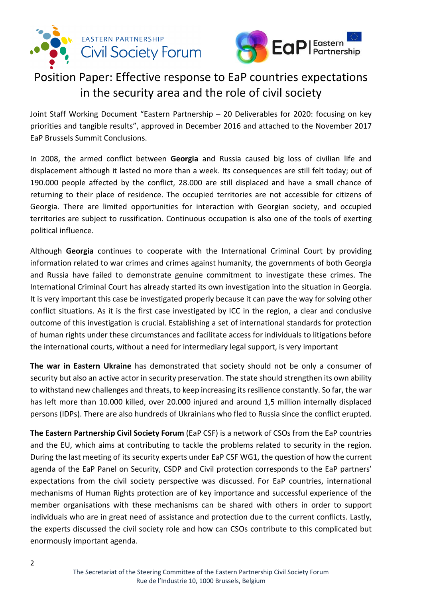



Joint Staff Working Document "Eastern Partnership – 20 Deliverables for 2020: focusing on key priorities and tangible results", approved in December 2016 and attached to the November 2017 EaP Brussels Summit Conclusions.

In 2008, the armed conflict between **Georgia** and Russia caused big loss of civilian life and displacement although it lasted no more than a week. Its consequences are still felt today; out of 190.000 people affected by the conflict, 28.000 are still displaced and have a small chance of returning to their place of residence. The occupied territories are not accessible for citizens of Georgia. There are limited opportunities for interaction with Georgian society, and occupied territories are subject to russification. Continuous occupation is also one of the tools of exerting political influence.

Although **Georgia** continues to cooperate with the International Criminal Court by providing information related to war crimes and crimes against humanity, the governments of both Georgia and Russia have failed to demonstrate genuine commitment to investigate these crimes. The International Criminal Court has already started its own investigation into the situation in Georgia. It is very important this case be investigated properly because it can pave the way for solving other conflict situations. As it is the first case investigated by ICC in the region, a clear and conclusive outcome of this investigation is crucial. Establishing a set of international standards for protection of human rights under these circumstances and facilitate access for individuals to litigations before the international courts, without a need for intermediary legal support, is very important

**The war in Eastern Ukraine** has demonstrated that society should not be only a consumer of security but also an active actor in security preservation. The state should strengthen its own ability to withstand new challenges and threats, to keep increasing its resilience constantly. So far, the war has left more than 10.000 killed, over 20.000 injured and around 1,5 million internally displaced persons (IDPs). There are also hundreds of Ukrainians who fled to Russia since the conflict erupted.

**The Eastern Partnership Civil Society Forum** (EaP CSF) is a network of CSOs from the EaP countries and the EU, which aims at contributing to tackle the problems related to security in the region. During the last meeting of its security experts under EaP CSF WG1, the question of how the current agenda of the EaP Panel on Security, CSDP and Civil protection corresponds to the EaP partners' expectations from the civil society perspective was discussed. For EaP countries, international mechanisms of Human Rights protection are of key importance and successful experience of the member organisations with these mechanisms can be shared with others in order to support individuals who are in great need of assistance and protection due to the current conflicts. Lastly, the experts discussed the civil society role and how can CSOs contribute to this complicated but enormously important agenda.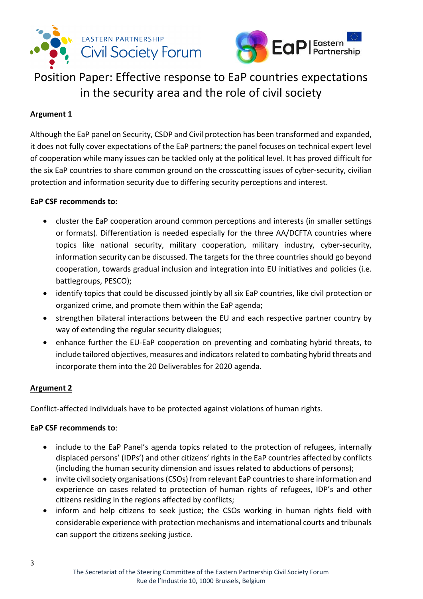



## **Argument 1**

Although the EaP panel on Security, CSDP and Civil protection has been transformed and expanded, it does not fully cover expectations of the EaP partners; the panel focuses on technical expert level of cooperation while many issues can be tackled only at the political level. It has proved difficult for the six EaP countries to share common ground on the crosscutting issues of cyber-security, civilian protection and information security due to differing security perceptions and interest.

### **EaP CSF recommends to:**

- cluster the EaP cooperation around common perceptions and interests (in smaller settings or formats). Differentiation is needed especially for the three AA/DCFTA countries where topics like national security, military cooperation, military industry, cyber-security, information security can be discussed. The targets for the three countries should go beyond cooperation, towards gradual inclusion and integration into EU initiatives and policies (i.e. battlegroups, PESCO);
- identify topics that could be discussed jointly by all six EaP countries, like civil protection or organized crime, and promote them within the EaP agenda;
- strengthen bilateral interactions between the EU and each respective partner country by way of extending the regular security dialogues;
- enhance further the EU-EaP cooperation on preventing and combating hybrid threats, to include tailored objectives, measures and indicators related to combating hybrid threats and incorporate them into the 20 Deliverables for 2020 agenda.

### **Argument 2**

Conflict-affected individuals have to be protected against violations of human rights.

#### **EaP CSF recommends to**:

- include to the EaP Panel's agenda topics related to the protection of refugees, internally displaced persons' (IDPs') and other citizens' rights in the EaP countries affected by conflicts (including the human security dimension and issues related to abductions of persons);
- invite civil society organisations(CSOs) from relevant EaP countries to share information and experience on cases related to protection of human rights of refugees, IDP's and other citizens residing in the regions affected by conflicts;
- inform and help citizens to seek justice; the CSOs working in human rights field with considerable experience with protection mechanisms and international courts and tribunals can support the citizens seeking justice.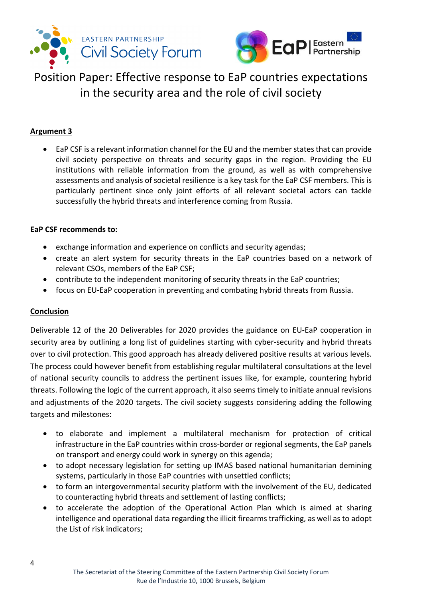



### **Argument 3**

• EaP CSF is a relevant information channel for the EU and the member states that can provide civil society perspective on threats and security gaps in the region. Providing the EU institutions with reliable information from the ground, as well as with comprehensive assessments and analysis of societal resilience is a key task for the EaP CSF members. This is particularly pertinent since only joint efforts of all relevant societal actors can tackle successfully the hybrid threats and interference coming from Russia.

#### **EaP CSF recommends to:**

- exchange information and experience on conflicts and security agendas;
- create an alert system for security threats in the EaP countries based on a network of relevant CSOs, members of the EaP CSF;
- contribute to the independent monitoring of security threats in the EaP countries;
- focus on EU-EaP cooperation in preventing and combating hybrid threats from Russia.

### **Conclusion**

Deliverable 12 of the 20 Deliverables for 2020 provides the guidance on EU-EaP cooperation in security area by outlining a long list of guidelines starting with cyber-security and hybrid threats over to civil protection. This good approach has already delivered positive results at various levels. The process could however benefit from establishing regular multilateral consultations at the level of national security councils to address the pertinent issues like, for example, countering hybrid threats. Following the logic of the current approach, it also seems timely to initiate annual revisions and adjustments of the 2020 targets. The civil society suggests considering adding the following targets and milestones:

- to elaborate and implement a multilateral mechanism for protection of critical infrastructure in the EaP countries within cross-border or regional segments, the EaP panels on transport and energy could work in synergy on this agenda;
- to adopt necessary legislation for setting up IMAS based national humanitarian demining systems, particularly in those EaP countries with unsettled conflicts;
- to form an intergovernmental security platform with the involvement of the EU, dedicated to counteracting hybrid threats and settlement of lasting conflicts;
- to accelerate the adoption of the Operational Action Plan which is aimed at sharing intelligence and operational data regarding the illicit firearms trafficking, as well as to adopt the List of risk indicators;